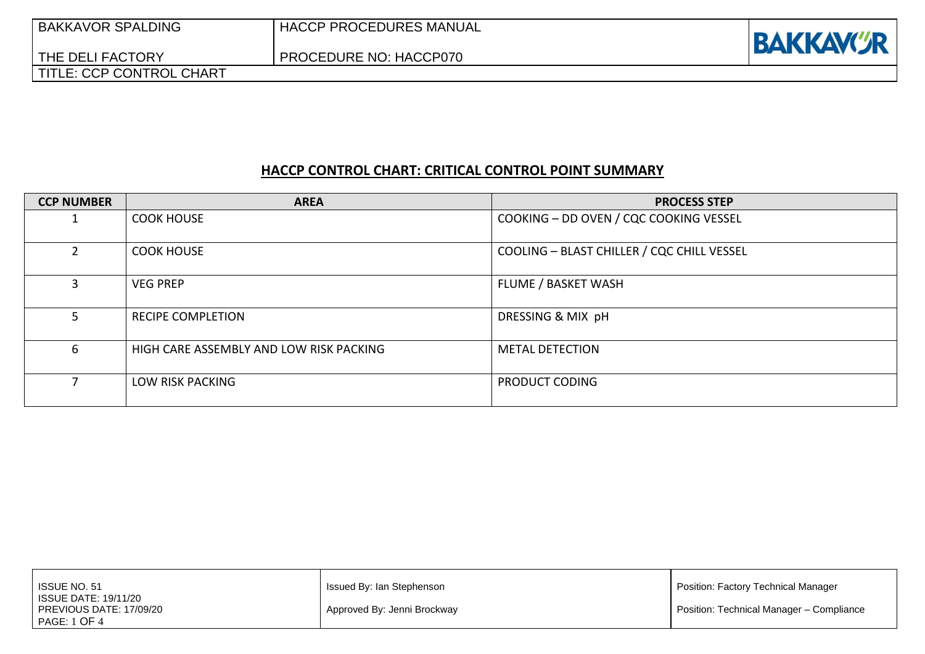| <b>BAKKAVOR SPALDING</b><br>THE DELI FACTORY | <b>HACCP PROCEDURES MANUAL</b><br>PROCEDURE NO: HACCP070 | <b>BAKKAVCR</b> |
|----------------------------------------------|----------------------------------------------------------|-----------------|
| <b>TITLE: CCP CONTROL CHART</b>              |                                                          |                 |

# **HACCP CONTROL CHART: CRITICAL CONTROL POINT SUMMARY**

| <b>CCP NUMBER</b> | <b>AREA</b>                             | <b>PROCESS STEP</b>                        |
|-------------------|-----------------------------------------|--------------------------------------------|
|                   | <b>COOK HOUSE</b>                       | COOKING - DD OVEN / CQC COOKING VESSEL     |
| $\mathcal{P}$     | <b>COOK HOUSE</b>                       | COOLING - BLAST CHILLER / CQC CHILL VESSEL |
| 3                 | <b>VEG PREP</b>                         | FLUME / BASKET WASH                        |
| 5.                | <b>RECIPE COMPLETION</b>                | DRESSING & MIX pH                          |
| 6                 | HIGH CARE ASSEMBLY AND LOW RISK PACKING | <b>METAL DETECTION</b>                     |
| 7                 | <b>LOW RISK PACKING</b>                 | PRODUCT CODING                             |

| <b>ISSUE NO. 51</b><br>ISSUE DATE: 19/11/20    | Issued By: Ian Stephenson   | Position: Factory Technical Manager      |
|------------------------------------------------|-----------------------------|------------------------------------------|
| PREVIOUS DATE: 17/09/20<br><b>PAGE: 1 OF 4</b> | Approved By: Jenni Brockway | Position: Technical Manager - Compliance |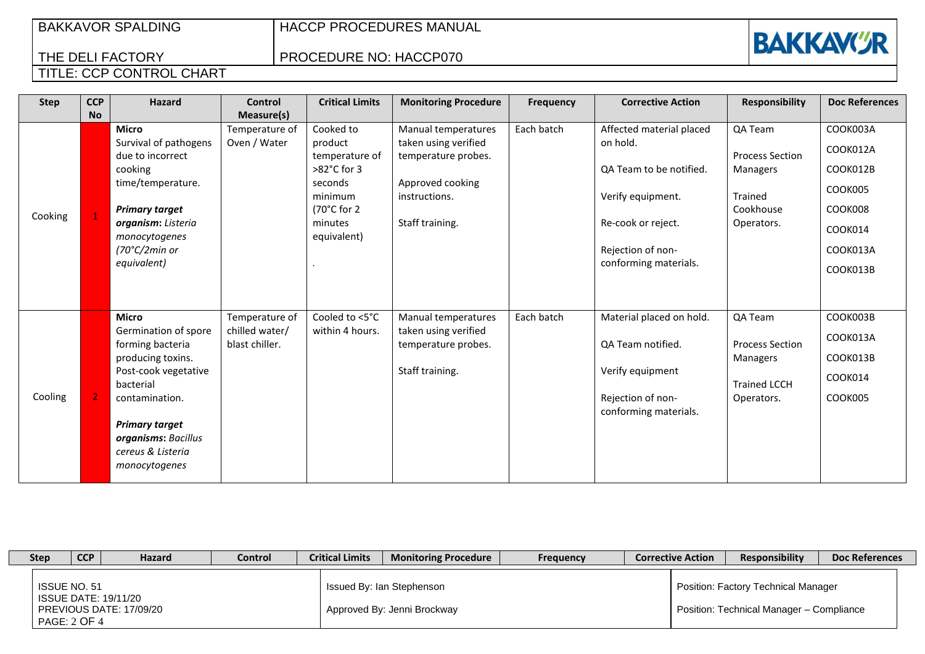## BAKKAVOR SPALDING

HACCP PROCEDURES MANUAL

PROCEDURE NO: HACCP070



### THE DELI FACTORY TITLE: CCP CONTROL CHART

| <b>Step</b> | <b>CCP</b>     | <b>Hazard</b>                                                                                                                                                                                                              | <b>Control</b>                                     | <b>Critical Limits</b>                                                                                                         | <b>Monitoring Procedure</b>                                                                                                | <b>Frequency</b> | <b>Corrective Action</b>                                                                                                                                 | <b>Responsibility</b>                                                               | <b>Doc References</b>                                                                     |
|-------------|----------------|----------------------------------------------------------------------------------------------------------------------------------------------------------------------------------------------------------------------------|----------------------------------------------------|--------------------------------------------------------------------------------------------------------------------------------|----------------------------------------------------------------------------------------------------------------------------|------------------|----------------------------------------------------------------------------------------------------------------------------------------------------------|-------------------------------------------------------------------------------------|-------------------------------------------------------------------------------------------|
|             | <b>No</b>      |                                                                                                                                                                                                                            | Measure(s)                                         |                                                                                                                                |                                                                                                                            |                  |                                                                                                                                                          |                                                                                     |                                                                                           |
| Cooking     | $\mathbf{1}$   | <b>Micro</b><br>Survival of pathogens<br>due to incorrect<br>cooking<br>time/temperature.<br><b>Primary target</b><br>organism: Listeria<br>monocytogenes<br>$(70^{\circ}C/2$ min or<br>equivalent)                        | Temperature of<br>Oven / Water                     | Cooked to<br>product<br>temperature of<br>>82°C for 3<br>seconds<br>minimum<br>$(70^{\circ}$ C for 2<br>minutes<br>equivalent) | Manual temperatures<br>taken using verified<br>temperature probes.<br>Approved cooking<br>instructions.<br>Staff training. | Each batch       | Affected material placed<br>on hold.<br>QA Team to be notified.<br>Verify equipment.<br>Re-cook or reject.<br>Rejection of non-<br>conforming materials. | QA Team<br><b>Process Section</b><br>Managers<br>Trained<br>Cookhouse<br>Operators. | COOK003A<br>COOK012A<br>COOK012B<br>COOK005<br>COOK008<br>COOK014<br>COOK013A<br>COOK013B |
| Cooling     | $\overline{2}$ | <b>Micro</b><br>Germination of spore<br>forming bacteria<br>producing toxins.<br>Post-cook vegetative<br>bacterial<br>contamination.<br><b>Primary target</b><br>organisms: Bacillus<br>cereus & Listeria<br>monocytogenes | Temperature of<br>chilled water/<br>blast chiller. | Cooled to <5°C<br>within 4 hours.                                                                                              | Manual temperatures<br>taken using verified<br>temperature probes.<br>Staff training.                                      | Each batch       | Material placed on hold.<br>QA Team notified.<br>Verify equipment<br>Rejection of non-<br>conforming materials.                                          | QA Team<br><b>Process Section</b><br>Managers<br><b>Trained LCCH</b><br>Operators.  | COOK003B<br>COOK013A<br>COOK013B<br>COOK014<br>COOK005                                    |

| <b>Step</b> | <b>CCP</b>                   | <b>Hazard</b>                                   | Control | <b>Critical Limits</b> | <b>Monitoring Procedure</b>                              | <b>Frequency</b> | <b>Corrective Action</b> | <b>Responsibility</b>                                                           | <b>Doc References</b> |
|-------------|------------------------------|-------------------------------------------------|---------|------------------------|----------------------------------------------------------|------------------|--------------------------|---------------------------------------------------------------------------------|-----------------------|
|             | ISSUE NO. 51<br>PAGE: 2 OF 4 | ISSUE DATE: 19/11/20<br>PREVIOUS DATE: 17/09/20 |         |                        | Issued By: Ian Stephenson<br>Approved By: Jenni Brockway |                  |                          | Position: Factory Technical Manager<br>Position: Technical Manager - Compliance |                       |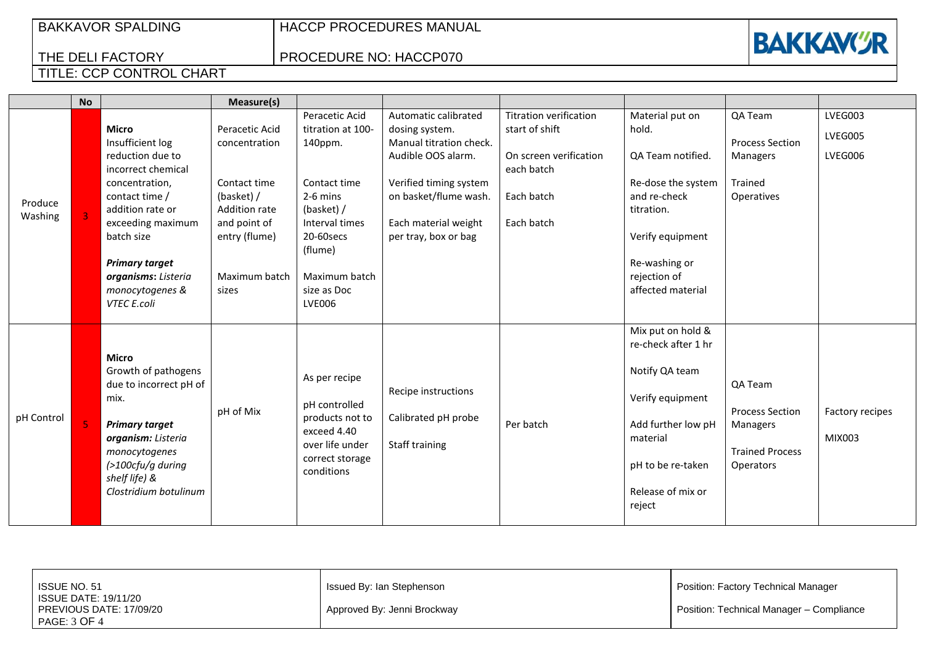## BAKKAVOR SPALDING

HACCP PROCEDURES MANUAL

PROCEDURE NO: HACCP070



### THE DELI FACTORY TITLE: CCP CONTROL CHART

|                    | <b>No</b> |                                                                                                                                                                                                                                                         | Measure(s)                                                                                                                                       |                                                                                                                                                                                       |                                                                                                                                                                                            |                                                                                                                     |                                                                                                                                                                             |                                                                                             |                               |
|--------------------|-----------|---------------------------------------------------------------------------------------------------------------------------------------------------------------------------------------------------------------------------------------------------------|--------------------------------------------------------------------------------------------------------------------------------------------------|---------------------------------------------------------------------------------------------------------------------------------------------------------------------------------------|--------------------------------------------------------------------------------------------------------------------------------------------------------------------------------------------|---------------------------------------------------------------------------------------------------------------------|-----------------------------------------------------------------------------------------------------------------------------------------------------------------------------|---------------------------------------------------------------------------------------------|-------------------------------|
| Produce<br>Washing |           | <b>Micro</b><br>Insufficient log<br>reduction due to<br>incorrect chemical<br>concentration,<br>contact time /<br>addition rate or<br>exceeding maximum<br>batch size<br><b>Primary target</b><br>organisms: Listeria<br>monocytogenes &<br>VTEC E.coli | Peracetic Acid<br>concentration<br>Contact time<br>(basket) /<br><b>Addition rate</b><br>and point of<br>entry (flume)<br>Maximum batch<br>sizes | Peracetic Acid<br>titration at 100-<br>140ppm.<br>Contact time<br>$2-6$ mins<br>(basket) /<br>Interval times<br>20-60secs<br>(flume)<br>Maximum batch<br>size as Doc<br><b>LVE006</b> | Automatic calibrated<br>dosing system.<br>Manual titration check.<br>Audible OOS alarm.<br>Verified timing system<br>on basket/flume wash.<br>Each material weight<br>per tray, box or bag | <b>Titration verification</b><br>start of shift<br>On screen verification<br>each batch<br>Each batch<br>Each batch | Material put on<br>hold.<br>QA Team notified.<br>Re-dose the system<br>and re-check<br>titration.<br>Verify equipment<br>Re-washing or<br>rejection of<br>affected material | QA Team<br><b>Process Section</b><br>Managers<br>Trained<br>Operatives                      | LVEG003<br>LVEG005<br>LVEG006 |
| pH Control         |           | <b>Micro</b><br>Growth of pathogens<br>due to incorrect pH of<br>mix.<br><b>Primary target</b><br>organism: Listeria<br>monocytogenes<br>$($ >100cfu/g during<br>shelf life) &<br>Clostridium botulinum                                                 | pH of Mix                                                                                                                                        | As per recipe<br>pH controlled<br>products not to<br>exceed 4.40<br>over life under<br>correct storage<br>conditions                                                                  | Recipe instructions<br>Calibrated pH probe<br>Staff training                                                                                                                               | Per batch                                                                                                           | Mix put on hold &<br>re-check after 1 hr<br>Notify QA team<br>Verify equipment<br>Add further low pH<br>material<br>pH to be re-taken<br>Release of mix or<br>reject        | QA Team<br><b>Process Section</b><br>Managers<br><b>Trained Process</b><br><b>Operators</b> | Factory recipes<br>MIX003     |

| ISSUE NO. 51<br>I ISSUE DATE: 19/11/20  | l Issued By: Ian Stephenson | Position: Factory Technical Manager      |
|-----------------------------------------|-----------------------------|------------------------------------------|
| PREVIOUS DATE: 17/09/20<br>PAGE: 3 OF 4 | Approved By: Jenni Brockway | Position: Technical Manager - Compliance |